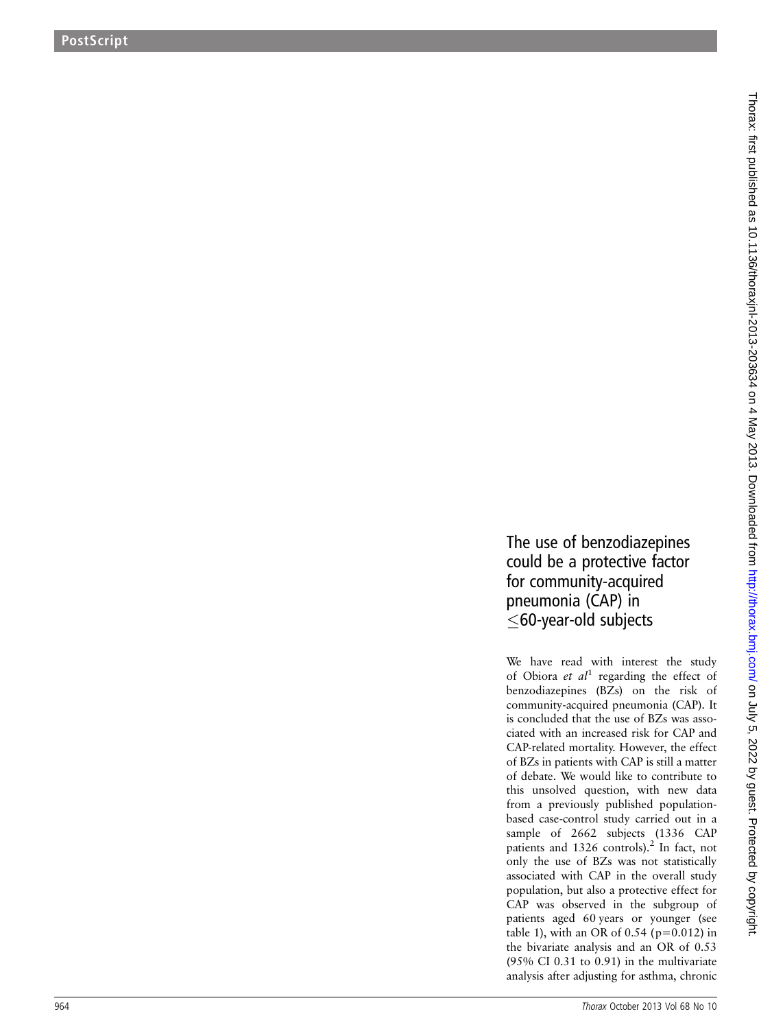## The use of benzodiazepines could be a protective factor for community-acquired pneumonia (CAP) in 60-year-old subjects

We have read with interest the study of Obiora et  $al<sup>1</sup>$  regarding the effect of benzodiazepines (BZs) on the risk of community-acquired pneumonia (CAP). It is concluded that the use of BZs was associated with an increased risk for CAP and CAP-related mortality. However, the effect of BZs in patients with CAP is still a matter of debate. We would like to contribute to this unsolved question, with new data from a previously published populationbased case-control study carried out in a sample of 2662 subjects (1336 CAP patients and 1326 controls).<sup>2</sup> In fact, not only the use of BZs was not statistically associated with CAP in the overall study population, but also a protective effect for CAP was observed in the subgroup of patients aged 60 years or younger (see table 1), with an OR of  $0.54$  (p=0.012) in the bivariate analysis and an OR of 0.53 (95% CI 0.31 to 0.91) in the multivariate analysis after adjusting for asthma, chronic